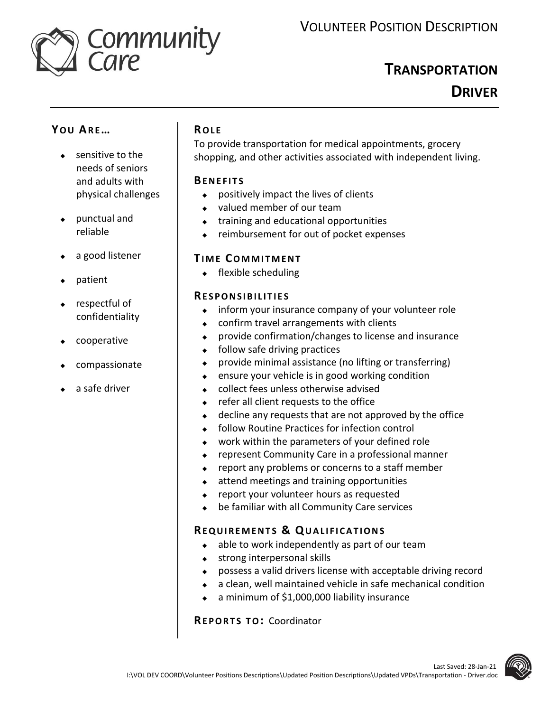

# **TRANSPORTATION DRIVER**

# **YO U AR E…**

- **sensitive to the** needs of seniors and adults with physical challenges
- punctual and reliable
- a good listener
- patient
- respectful of confidentiality
- cooperative
- compassionate
- a safe driver

## **RO L E**

To provide transportation for medical appointments, grocery shopping, and other activities associated with independent living.

#### **BE N E F I T S**

- positively impact the lives of clients
- valued member of our team
- training and educational opportunities
- reimbursement for out of pocket expenses

### **TI M E CO M M I T M E N T**

 $\leftarrow$  flexible scheduling

#### **RE S P O N S I B I L I T I E S**

- inform your insurance company of your volunteer role
- confirm travel arrangements with clients
- provide confirmation/changes to license and insurance
- $\bullet$  follow safe driving practices
- provide minimal assistance (no lifting or transferring)
- ensure your vehicle is in good working condition
- collect fees unless otherwise advised
- refer all client requests to the office
- decline any requests that are not approved by the office
- follow Routine Practices for infection control
- work within the parameters of your defined role
- represent Community Care in a professional manner
- $\bullet$  report any problems or concerns to a staff member
- attend meetings and training opportunities
- report your volunteer hours as requested
- be familiar with all Community Care services

# **RE Q U I R E M E N T S & QU A L I F I C A T I O N S**

- $\bullet$  able to work independently as part of our team
- strong interpersonal skills
- possess a valid drivers license with acceptable driving record
- a clean, well maintained vehicle in safe mechanical condition
- a minimum of \$1,000,000 liability insurance

**RE P O R T S T O:** Coordinator